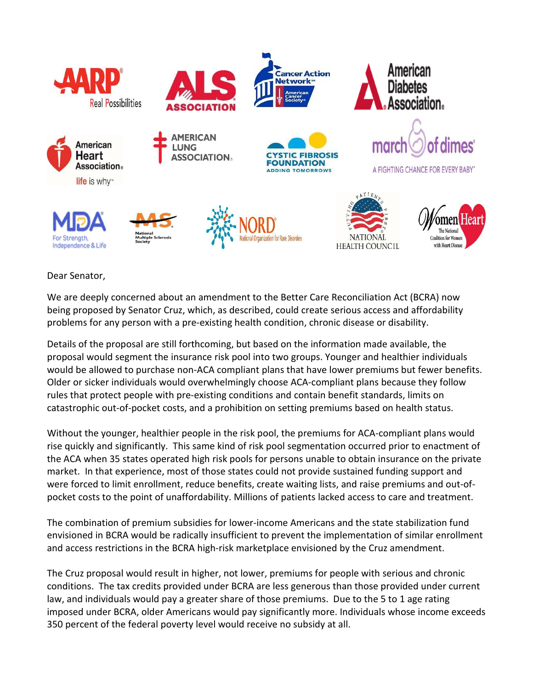

Dear Senator,

We are deeply concerned about an amendment to the Better Care Reconciliation Act (BCRA) now being proposed by Senator Cruz, which, as described, could create serious access and affordability problems for any person with a pre-existing health condition, chronic disease or disability.

Details of the proposal are still forthcoming, but based on the information made available, the proposal would segment the insurance risk pool into two groups. Younger and healthier individuals would be allowed to purchase non-ACA compliant plans that have lower premiums but fewer benefits. Older or sicker individuals would overwhelmingly choose ACA-compliant plans because they follow rules that protect people with pre-existing conditions and contain benefit standards, limits on catastrophic out-of-pocket costs, and a prohibition on setting premiums based on health status.

Without the younger, healthier people in the risk pool, the premiums for ACA-compliant plans would rise quickly and significantly. This same kind of risk pool segmentation occurred prior to enactment of the ACA when 35 states operated high risk pools for persons unable to obtain insurance on the private market. In that experience, most of those states could not provide sustained funding support and were forced to limit enrollment, reduce benefits, create waiting lists, and raise premiums and out-ofpocket costs to the point of unaffordability. Millions of patients lacked access to care and treatment.

The combination of premium subsidies for lower-income Americans and the state stabilization fund envisioned in BCRA would be radically insufficient to prevent the implementation of similar enrollment and access restrictions in the BCRA high-risk marketplace envisioned by the Cruz amendment.

The Cruz proposal would result in higher, not lower, premiums for people with serious and chronic conditions. The tax credits provided under BCRA are less generous than those provided under current law, and individuals would pay a greater share of those premiums. Due to the 5 to 1 age rating imposed under BCRA, older Americans would pay significantly more. Individuals whose income exceeds 350 percent of the federal poverty level would receive no subsidy at all.